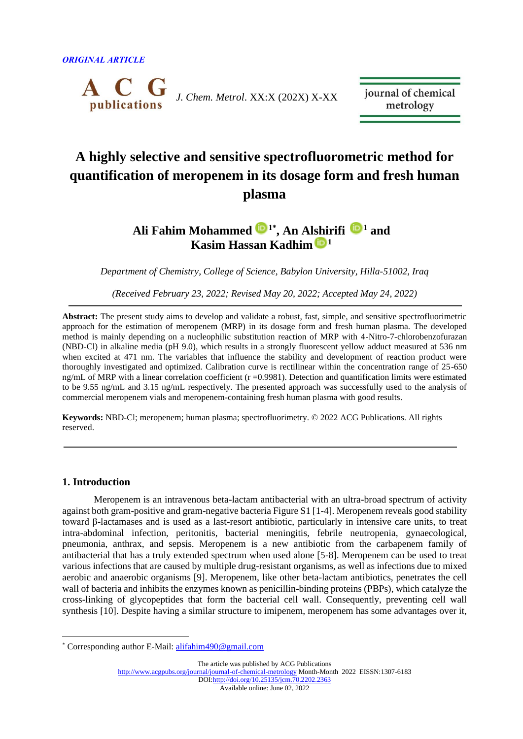

journal of chemical metrology

# **A highly selective and sensitive spectrofluorometric method for quantification of meropenem in its dosage form and fresh human plasma**

## **Ali Fahim Mohammed [1](https://orcid.org/0000-0001-8366-191X)\* , An Alshirifi [1](https://orcid.org/0000-0001-8824-1199) and Kasim Hassan Kadhim <sup>1</sup>**

*Department of Chemistry, College of Science, Babylon University, Hilla-51002, Iraq*

*(Received February 23, 2022; Revised May 20, 2022; Accepted May 24, 2022)*

**Abstract:** The present study aims to develop and validate a robust, fast, simple, and sensitive spectrofluorimetric approach for the estimation of meropenem (MRP) in its dosage form and fresh human plasma. The developed method is mainly depending on a nucleophilic substitution reaction of MRP with 4-Nitro-7-chlorobenzofurazan (NBD-Cl) in alkaline media (pH 9.0), which results in a strongly fluorescent yellow adduct measured at 536 nm when excited at 471 nm. The variables that influence the stability and development of reaction product were thoroughly investigated and optimized. Calibration curve is rectilinear within the concentration range of 25-650 ng/mL of MRP with a linear correlation coefficient ( $r = 0.9981$ ). Detection and quantification limits were estimated to be 9.55 ng/mL and 3.15 ng/mL respectively. The presented approach was successfully used to the analysis of commercial meropenem vials and meropenem-containing fresh human plasma with good results.

**Keywords:** NBD-Cl; meropenem; human plasma; spectrofluorimetry. © 2022 ACG Publications. All rights reserved.

## **1. Introduction**

Meropenem is an intravenous beta-lactam antibacterial with an ultra-broad spectrum of activity against both gram-positive and gram-negative bacteria Figure S1 [1-4]. Meropenem reveals good stability toward β-lactamases and is used as a last-resort antibiotic, particularly in intensive care units, to treat intra-abdominal infection, peritonitis, bacterial meningitis, febrile neutropenia, gynaecological, pneumonia, anthrax, and sepsis. Meropenem is a new antibiotic from the carbapenem family of antibacterial that has a truly extended spectrum when used alone [5-8]. Meropenem can be used to treat various infections that are caused by multiple drug-resistant organisms, as well as infections due to mixed aerobic and anaerobic organisms [9]. Meropenem, like other beta-lactam antibiotics, penetrates the cell wall of bacteria and inhibits the enzymes known as penicillin-binding proteins (PBPs), which catalyze the cross-linking of glycopeptides that form the bacterial cell wall. Consequently, preventing cell wall synthesis [10]. Despite having a similar structure to imipenem, meropenem has some advantages over it,

The article was published by ACG Publications <http://www.acgpubs.org/journal/journal-of-chemical-metrology> Month-Month 2022 EISSN:1307-6183 DO[I:http://doi.org/10.25135/jcm.70.2202.2363](http://doi.org/10.25135/jcm.70.2202.2363) Available online: June 02, 2022

<sup>\*</sup> Corresponding author E-Mail: [alifahim490@gmail.com](mailto:alifahim490@gmail.com)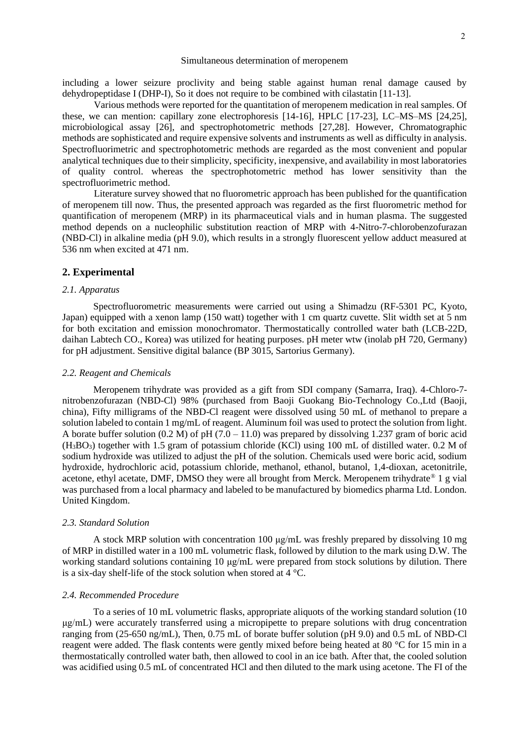including a lower seizure proclivity and being stable against human renal damage caused by dehydropeptidase I (DHP-I), So it does not require to be combined with cilastatin [11-13].

Various methods were reported for the quantitation of meropenem medication in real samples. Of these, we can mention: capillary zone electrophoresis [14-16], HPLC [17-23], LC–MS–MS [24,25], microbiological assay [26], and spectrophotometric methods [27,28]. However, Chromatographic methods are sophisticated and require expensive solvents and instruments as well as difficulty in analysis. Spectrofluorimetric and spectrophotometric methods are regarded as the most convenient and popular analytical techniques due to their simplicity, specificity, inexpensive, and availability in most laboratories of quality control. whereas the spectrophotometric method has lower sensitivity than the spectrofluorimetric method.

Literature survey showed that no fluorometric approach has been published for the quantification of meropenem till now. Thus, the presented approach was regarded as the first fluorometric method for quantification of meropenem (MRP) in its pharmaceutical vials and in human plasma. The suggested method depends on a nucleophilic substitution reaction of MRP with 4-Nitro-7-chlorobenzofurazan (NBD-Cl) in alkaline media (pH 9.0), which results in a strongly fluorescent yellow adduct measured at 536 nm when excited at 471 nm.

## **2. Experimental**

#### *2.1. Apparatus*

Spectrofluorometric measurements were carried out using a Shimadzu (RF-5301 PC, Kyoto, Japan) equipped with a xenon lamp (150 watt) together with 1 cm quartz cuvette. Slit width set at 5 nm for both excitation and emission monochromator. Thermostatically controlled water bath (LCB-22D, daihan Labtech CO., Korea) was utilized for heating purposes. pH meter wtw (inolab pH 720, Germany) for pH adjustment. Sensitive digital balance (BP 3015, Sartorius Germany).

#### *2.2. Reagent and Chemicals*

Meropenem trihydrate was provided as a gift from SDI company (Samarra, Iraq). 4-Chloro-7 nitrobenzofurazan (NBD-Cl) 98% (purchased from Baoji Guokang Bio-Technology Co.,Ltd (Baoji, china), Fifty milligrams of the NBD-Cl reagent were dissolved using 50 mL of methanol to prepare a solution labeled to contain 1 mg/mL of reagent. Aluminum foil was used to protect the solution from light. A borate buffer solution  $(0.2 M)$  of pH  $(7.0 - 11.0)$  was prepared by dissolving 1.237 gram of boric acid (H3BO3) together with 1.5 gram of potassium chloride (KCl) using 100 mL of distilled water. 0.2 M of sodium hydroxide was utilized to adjust the pH of the solution. Chemicals used were boric acid, sodium hydroxide, hydrochloric acid, potassium chloride, methanol, ethanol, butanol, 1,4-dioxan, acetonitrile, acetone, ethyl acetate, DMF, DMSO they were all brought from Merck. Meropenem trihydrate<sup>®</sup> 1 g vial was purchased from a local pharmacy and labeled to be manufactured by biomedics pharma Ltd. London. United Kingdom.

## *2.3. Standard Solution*

A stock MRP solution with concentration 100 μg/mL was freshly prepared by dissolving 10 mg of MRP in distilled water in a 100 mL volumetric flask, followed by dilution to the mark using D.W. The working standard solutions containing 10 μg/mL were prepared from stock solutions by dilution. There is a six-day shelf-life of the stock solution when stored at 4 °C.

#### *2.4. Recommended Procedure*

To a series of 10 mL volumetric flasks, appropriate aliquots of the working standard solution (10 μg/mL) were accurately transferred using a micropipette to prepare solutions with drug concentration ranging from (25-650 ng/mL), Then, 0.75 mL of borate buffer solution (pH 9.0) and 0.5 mL of NBD-Cl reagent were added. The flask contents were gently mixed before being heated at 80 °C for 15 min in a thermostatically controlled water bath, then allowed to cool in an ice bath. After that, the cooled solution was acidified using 0.5 mL of concentrated HCl and then diluted to the mark using acetone. The FI of the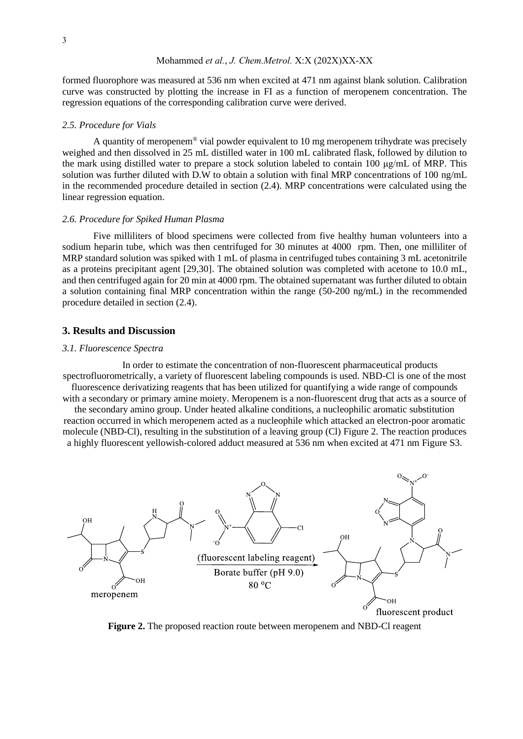formed fluorophore was measured at 536 nm when excited at 471 nm against blank solution. Calibration curve was constructed by plotting the increase in FI as a function of meropenem concentration. The regression equations of the corresponding calibration curve were derived.

#### *2.5. Procedure for Vials*

A quantity of meropenem® vial powder equivalent to 10 mg meropenem trihydrate was precisely weighed and then dissolved in 25 mL distilled water in 100 mL calibrated flask, followed by dilution to the mark using distilled water to prepare a stock solution labeled to contain 100 μg/mL of MRP. This solution was further diluted with D.W to obtain a solution with final MRP concentrations of 100 ng/mL in the recommended procedure detailed in section (2.4). MRP concentrations were calculated using the linear regression equation.

#### *2.6. Procedure for Spiked Human Plasma*

Five milliliters of blood specimens were collected from five healthy human volunteers into a sodium heparin tube, which was then centrifuged for 30 minutes at 4000 rpm. Then, one milliliter of MRP standard solution was spiked with 1 mL of plasma in centrifuged tubes containing 3 mL acetonitrile as a proteins precipitant agent [29,30]. The obtained solution was completed with acetone to 10.0 mL, and then centrifuged again for 20 min at 4000 rpm. The obtained supernatant was further diluted to obtain a solution containing final MRP concentration within the range (50-200 ng/mL) in the recommended procedure detailed in section (2.4).

## **3. Results and Discussion**

#### *3.1. Fluorescence Spectra*

In order to estimate the concentration of non-fluorescent pharmaceutical products spectrofluorometrically, a variety of fluorescent labeling compounds is used. NBD-Cl is one of the most fluorescence derivatizing reagents that has been utilized for quantifying a wide range of compounds with a secondary or primary amine moiety. Meropenem is a non-fluorescent drug that acts as a source of

the secondary amino group. Under heated alkaline conditions, a nucleophilic aromatic substitution reaction occurred in which meropenem acted as a nucleophile which attacked an electron-poor aromatic molecule (NBD-Cl), resulting in the substitution of a leaving group (Cl) Figure 2. The reaction produces a highly fluorescent yellowish-colored adduct measured at 536 nm when excited at 471 nm Figure S3.



**Figure 2.** The proposed reaction route between meropenem and NBD-Cl reagent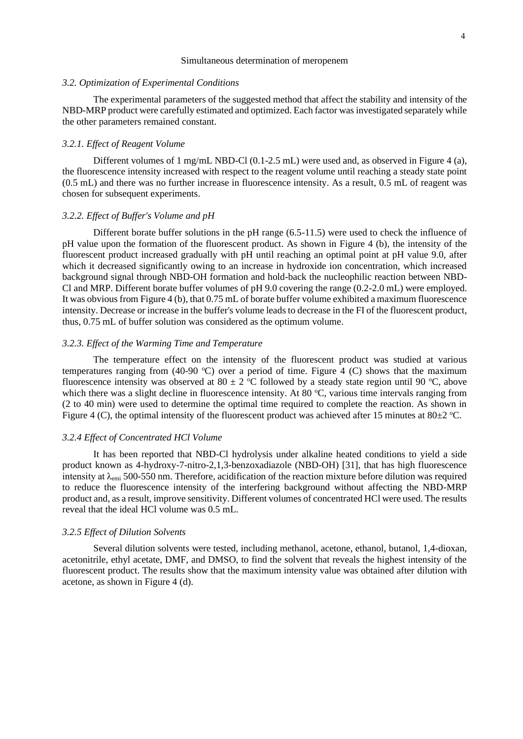#### *3.2. Optimization of Experimental Conditions*

The experimental parameters of the suggested method that affect the stability and intensity of the NBD-MRP product were carefully estimated and optimized. Each factor was investigated separately while the other parameters remained constant.

#### *3.2.1. Effect of Reagent Volume*

Different volumes of 1 mg/mL NBD-Cl  $(0.1-2.5 \text{ mL})$  were used and, as observed in Figure 4 (a), the fluorescence intensity increased with respect to the reagent volume until reaching a steady state point (0.5 mL) and there was no further increase in fluorescence intensity. As a result, 0.5 mL of reagent was chosen for subsequent experiments.

#### *3.2.2. Effect of Buffer's Volume and pH*

Different borate buffer solutions in the pH range (6.5-11.5) were used to check the influence of pH value upon the formation of the fluorescent product. As shown in Figure 4 (b), the intensity of the fluorescent product increased gradually with pH until reaching an optimal point at pH value 9.0, after which it decreased significantly owing to an increase in hydroxide ion concentration, which increased background signal through NBD-OH formation and hold-back the nucleophilic reaction between NBD-Cl and MRP. Different borate buffer volumes of pH 9.0 covering the range (0.2-2.0 mL) were employed. It was obvious from Figure 4 (b), that 0.75 mL of borate buffer volume exhibited a maximum fluorescence intensity. Decrease or increase in the buffer's volume leads to decrease in the FI of the fluorescent product, thus, 0.75 mL of buffer solution was considered as the optimum volume.

## *3.2.3. Effect of the Warming Time and Temperature*

The temperature effect on the intensity of the fluorescent product was studied at various temperatures ranging from (40-90 °C) over a period of time. Figure 4 (C) shows that the maximum fluorescence intensity was observed at 80  $\pm$  2 °C followed by a steady state region until 90 °C, above which there was a slight decline in fluorescence intensity. At 80  $^{\circ}$ C, various time intervals ranging from (2 to 40 min) were used to determine the optimal time required to complete the reaction. As shown in Figure 4 (C), the optimal intensity of the fluorescent product was achieved after 15 minutes at 80 $\pm$ 2 °C.

#### *3.2.4 Effect of Concentrated HCl Volume*

It has been reported that NBD-Cl hydrolysis under alkaline heated conditions to yield a side product known as 4-hydroxy-7-nitro-2,1,3-benzoxadiazole (NBD-OH) [31], that has high fluorescence intensity at  $\lambda_{\text{emi}}$  500-550 nm. Therefore, acidification of the reaction mixture before dilution was required to reduce the fluorescence intensity of the interfering background without affecting the NBD-MRP product and, as a result, improve sensitivity. Different volumes of concentrated HCl were used. The results reveal that the ideal HCl volume was 0.5 mL.

#### *3.2.5 Effect of Dilution Solvents*

Several dilution solvents were tested, including methanol, acetone, ethanol, butanol, 1,4-dioxan, acetonitrile, ethyl acetate, DMF, and DMSO, to find the solvent that reveals the highest intensity of the fluorescent product. The results show that the maximum intensity value was obtained after dilution with acetone, as shown in Figure 4 (d).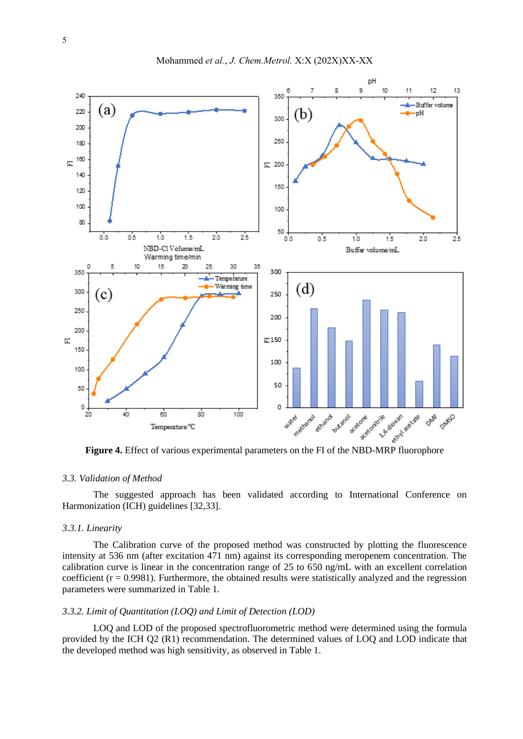

## *3.3. Validation of Method*

The suggested approach has been validated according to International Conference on Harmonization (ICH) guidelines [32,33].

#### *3.3.1. Linearity*

The Calibration curve of the proposed method was constructed by plotting the fluorescence intensity at 536 nm (after excitation 471 nm) against its corresponding meropenem concentration. The calibration curve is linear in the concentration range of 25 to 650 ng/mL with an excellent correlation coefficient  $(r = 0.9981)$ . Furthermore, the obtained results were statistically analyzed and the regression parameters were summarized in Table 1.

## *3.3.2. Limit of Quantitation (LOQ) and Limit of Detection (LOD)*

LOQ and LOD of the proposed spectrofluorometric method were determined using the formula provided by the ICH Q2 (R1) recommendation. The determined values of LOQ and LOD indicate that the developed method was high sensitivity, as observed in Table 1.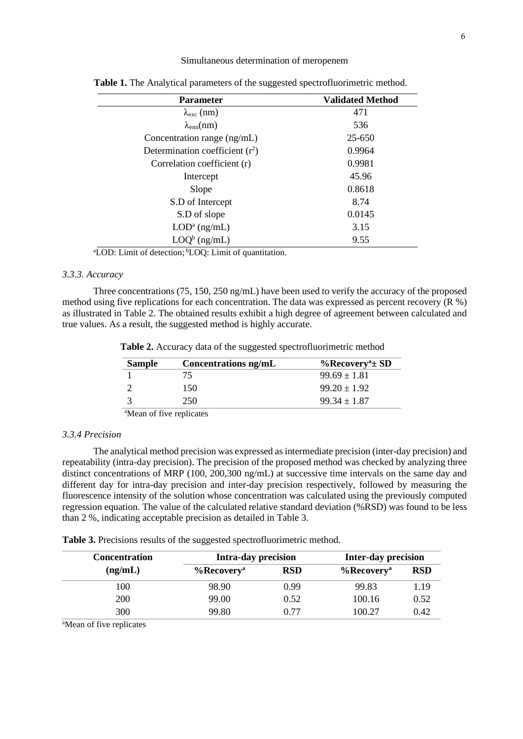| <b>Parameter</b>                  | <b>Validated Method</b> |
|-----------------------------------|-------------------------|
| $\lambda_{\rm exc}$ (nm)          | 471                     |
| $\lambda_{\text{emi}}(nm)$        | 536                     |
| Concentration range (ng/mL)       | 25-650                  |
| Determination coefficient $(r^2)$ | 0.9964                  |
| Correlation coefficient (r)       | 0.9981                  |
| Intercept                         | 45.96                   |
| Slope                             | 0.8618                  |
| S.D of Intercept                  | 8.74                    |
| S.D of slope                      | 0.0145                  |
| $LOD^a$ (ng/mL)                   | 3.15                    |
| $Q^b$ (ng/mL)                     | 9.55                    |

 **Table 1.** The Analytical parameters of the suggested spectrofluorimetric method.

<sup>a</sup>LOD: Limit of detection; <sup>b</sup>LOQ: Limit of quantitation.

## *3.3.3. Accuracy*

Three concentrations (75, 150, 250 ng/mL) have been used to verify the accuracy of the proposed method using five replications for each concentration. The data was expressed as percent recovery (R %) as illustrated in Table 2. The obtained results exhibit a high degree of agreement between calculated and true values. As a result, the suggested method is highly accurate.

 **Table 2.** Accuracy data of the suggested spectrofluorimetric method

| <b>Sample</b>                                   | Concentrations ng/mL | $\%$ Recovery <sup>a</sup> ± SD |
|-------------------------------------------------|----------------------|---------------------------------|
|                                                 | 75                   | $99.69 \pm 1.81$                |
|                                                 | 150                  | $99.20 \pm 1.92$                |
|                                                 | 250                  | $99.34 + 1.87$                  |
| $\alpha$ and $\alpha$ and $\alpha$ and $\alpha$ |                      |                                 |

<sup>a</sup>Mean of five replicates

#### *3.3.4 Precision*

The analytical method precision was expressed as intermediate precision (inter-day precision) and repeatability (intra-day precision). The precision of the proposed method was checked by analyzing three distinct concentrations of MRP (100, 200,300 ng/mL) at successive time intervals on the same day and different day for intra-day precision and inter-day precision respectively, followed by measuring the fluorescence intensity of the solution whose concentration was calculated using the previously computed regression equation. The value of the calculated relative standard deviation (%RSD) was found to be less than 2 %, indicating acceptable precision as detailed in Table 3.

**Table 3.** Precisions results of the suggested spectrofluorimetric method.

| <b>Concentration</b> | <b>Intra-day precision</b> |            | <b>Inter-day precision</b> |            |
|----------------------|----------------------------|------------|----------------------------|------------|
| (ng/mL)              | $%$ Recovery <sup>a</sup>  | <b>RSD</b> | $%$ Recovery <sup>a</sup>  | <b>RSD</b> |
| 100                  | 98.90                      | 0.99       | 99.83                      | 1.19       |
| 200                  | 99.00                      | 0.52       | 100.16                     | 0.52       |
| 300                  | 99.80                      | 0.77       | 100.27                     | 0.42       |
|                      |                            |            |                            |            |

<sup>a</sup>Mean of five replicates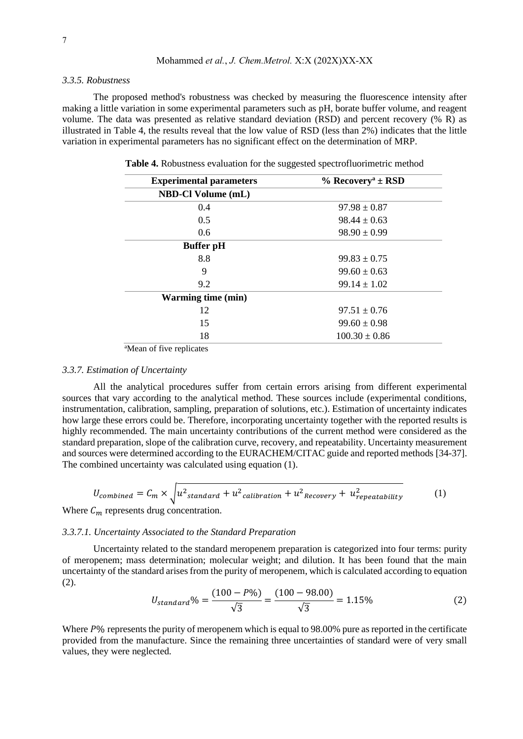#### *3.3.5. Robustness*

The proposed method's robustness was checked by measuring the fluorescence intensity after making a little variation in some experimental parameters such as pH, borate buffer volume, and reagent volume. The data was presented as relative standard deviation (RSD) and percent recovery (% R) as illustrated in Table 4, the results reveal that the low value of RSD (less than 2%) indicates that the little variation in experimental parameters has no significant effect on the determination of MRP.

| <b>Experimental parameters</b> | $%$ Recovery <sup>a</sup> ± RSD |  |
|--------------------------------|---------------------------------|--|
| <b>NBD-Cl Volume (mL)</b>      |                                 |  |
| 0.4                            | $97.98 \pm 0.87$                |  |
| 0.5                            | $98.44 \pm 0.63$                |  |
| 0.6                            | $98.90 \pm 0.99$                |  |
| <b>Buffer</b> pH               |                                 |  |
| 8.8                            | $99.83 \pm 0.75$                |  |
| 9                              | $99.60 \pm 0.63$                |  |
| 9.2                            | $99.14 \pm 1.02$                |  |
| <b>Warming time (min)</b>      |                                 |  |
| 12                             | $97.51 \pm 0.76$                |  |
| 15                             | $99.60 \pm 0.98$                |  |
| 18                             | $100.30 \pm 0.86$               |  |

 **Table 4.** Robustness evaluation for the suggested spectrofluorimetric method

<sup>a</sup>Mean of five replicates

## *3.3.7. Estimation of Uncertainty*

All the analytical procedures suffer from certain errors arising from different experimental sources that vary according to the analytical method. These sources include (experimental conditions, instrumentation, calibration, sampling, preparation of solutions, etc.). Estimation of uncertainty indicates how large these errors could be. Therefore, incorporating uncertainty together with the reported results is highly recommended. The main uncertainty contributions of the current method were considered as the standard preparation, slope of the calibration curve, recovery, and repeatability. Uncertainty measurement and sources were determined according to the EURACHEM/CITAC guide and reported methods [34-37]. The combined uncertainty was calculated using equation (1).

$$
U_{combined} = C_m \times \sqrt{u^2_{standard} + u^2_{calibration} + u^2_{Recovery} + u^2_{repeatability}} \tag{1}
$$

Where  $C_m$  represents drug concentration.

## *3.3.7.1. Uncertainty Associated to the Standard Preparation*

Uncertainty related to the standard meropenem preparation is categorized into four terms: purity of meropenem; mass determination; molecular weight; and dilution. It has been found that the main uncertainty of the standard arises from the purity of meropenem, which is calculated according to equation (2).

$$
U_{standard}\% = \frac{(100 - P\%)}{\sqrt{3}} = \frac{(100 - 98.00)}{\sqrt{3}} = 1.15\%
$$
 (2)

Where  $P\%$  represents the purity of meropenem which is equal to 98.00% pure as reported in the certificate provided from the manufacture. Since the remaining three uncertainties of standard were of very small values, they were neglected.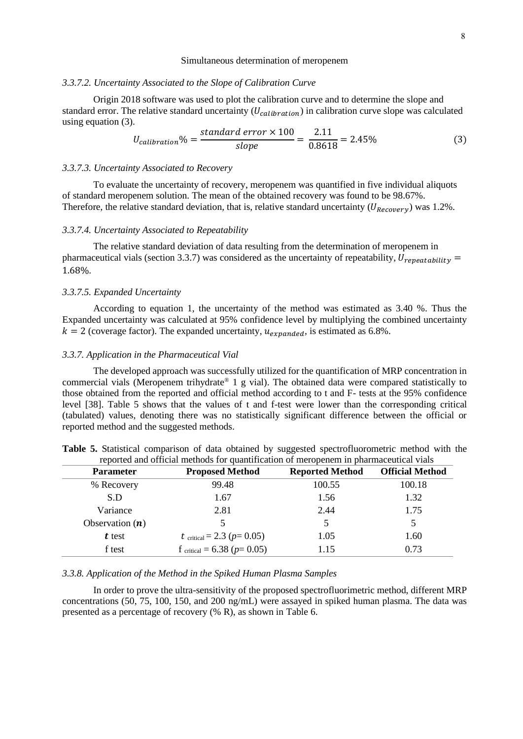## *3.3.7.2. Uncertainty Associated to the Slope of Calibration Curve*

Origin 2018 software was used to plot the calibration curve and to determine the slope and standard error. The relative standard uncertainty  $(U_{calibration})$  in calibration curve slope was calculated using equation (3).

$$
U_{calibration}\% = \frac{\text{standard error} \times 100}{\text{slope}} = \frac{2.11}{0.8618} = 2.45\% \tag{3}
$$

## *3.3.7.3. Uncertainty Associated to Recovery*

To evaluate the uncertainty of recovery, meropenem was quantified in five individual aliquots of standard meropenem solution. The mean of the obtained recovery was found to be 98.67%. Therefore, the relative standard deviation, that is, relative standard uncertainty  $(U_{Recovery})$  was 1.2%.

#### *3.3.7.4. Uncertainty Associated to Repeatability*

The relative standard deviation of data resulting from the determination of meropenem in pharmaceutical vials (section 3.3.7) was considered as the uncertainty of repeatability,  $U_{repeatedability}$  = 1.68%.

## *3.3.7.5. Expanded Uncertainty*

According to equation 1, the uncertainty of the method was estimated as 3.40 %. Thus the Expanded uncertainty was calculated at 95% confidence level by multiplying the combined uncertainty  $k = 2$  (coverage factor). The expanded uncertainty,  $u_{prnanded}$ , is estimated as 6.8%.

#### *3.3.7. Application in the Pharmaceutical Vial*

The developed approach was successfully utilized for the quantification of MRP concentration in commercial vials (Meropenem trihydrate® 1 g vial). The obtained data were compared statistically to those obtained from the reported and official method according to t and F- tests at the 95% confidence level [38]. Table 5 shows that the values of t and f-test were lower than the corresponding critical (tabulated) values, denoting there was no statistically significant difference between the official or reported method and the suggested methods.

| <b>Parameter</b>  | <b>Proposed Method</b>         | <b>Reported Method</b> | <b>Official Method</b> |
|-------------------|--------------------------------|------------------------|------------------------|
| % Recovery        | 99.48                          | 100.55                 | 100.18                 |
| S.D               | 1.67                           | 1.56                   | 1.32                   |
| Variance          | 2.81                           | 2.44                   | 1.75                   |
| Observation $(n)$ |                                | 5                      |                        |
| t test            | t critical = 2.3 ( $p=0.05$ )  | 1.05                   | 1.60                   |
| f test            | f critical = 6.38 ( $p=0.05$ ) | 1.15                   | 0.73                   |

**Table 5.** Statistical comparison of data obtained by suggested spectrofluorometric method with the reported and official methods for quantification of meropenem in pharmaceutical vials

## *3.3.8. Application of the Method in the Spiked Human Plasma Samples*

In order to prove the ultra-sensitivity of the proposed spectrofluorimetric method, different MRP concentrations (50, 75, 100, 150, and 200 ng/mL) were assayed in spiked human plasma. The data was presented as a percentage of recovery (% R), as shown in Table 6.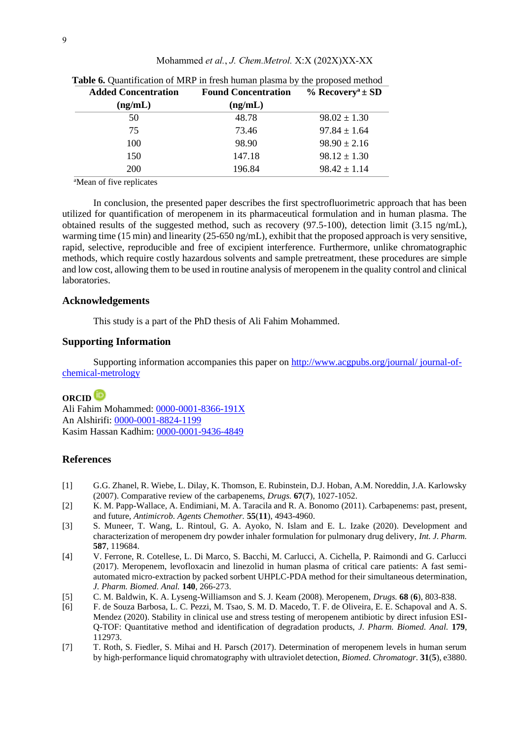| Table 6. Quantification of MRP in fresh human plasma by the proposed method |                            |                                 |  |
|-----------------------------------------------------------------------------|----------------------------|---------------------------------|--|
| <b>Added Concentration</b>                                                  | <b>Found Concentration</b> | $\%$ Recovery <sup>a</sup> ± SD |  |
| (ng/mL)                                                                     | (ng/mL)                    |                                 |  |
| 50                                                                          | 48.78                      | $98.02 \pm 1.30$                |  |
| 75                                                                          | 73.46                      | $97.84 \pm 1.64$                |  |
| 100                                                                         | 98.90                      | $98.90 \pm 2.16$                |  |
| 150                                                                         | 147.18                     | $98.12 \pm 1.30$                |  |
| 200                                                                         | 196.84                     | $98.42 \pm 1.14$                |  |

Mohammed *et al.*, *J. Chem.Metrol.* X:X (202X)XX-XX

<sup>a</sup>Mean of five replicates

In conclusion, the presented paper describes the first spectrofluorimetric approach that has been utilized for quantification of meropenem in its pharmaceutical formulation and in human plasma. The obtained results of the suggested method, such as recovery (97.5-100), detection limit (3.15 ng/mL), warming time (15 min) and linearity (25-650 ng/mL), exhibit that the proposed approach is very sensitive, rapid, selective, reproducible and free of excipient interference. Furthermore, unlike chromatographic methods, which require costly hazardous solvents and sample pretreatment, these procedures are simple and low cost, allowing them to be used in routine analysis of meropenem in the quality control and clinical laboratories.

## **Acknowledgements**

This study is a part of the PhD thesis of Ali Fahim Mohammed.

## **Supporting Information**

Supporting information accompanies this paper on [http://www.acgpubs.org/journal/ journal-of](http://www.acgpubs.org/journal/%20journal-of-chemical-metrology)[chemical-metrology](http://www.acgpubs.org/journal/%20journal-of-chemical-metrology)

## **ORCID**

Ali Fahim Mohammed: [0000-0001-8366-191X](https://orcid.org/0000-0001-8366-191X) An Alshirifi: [0000-0001-8824-1199](https://orcid.org/0000-0001-8824-1199) Kasim Hassan Kadhim: [0000-0001-9436-4849](https://orcid.org/0000-0001-9436-4849)

## **References**

- [1] G.G. Zhanel, R. Wiebe, L. Dilay, K. Thomson, E. Rubinstein, D.J. Hoban, A.M. Noreddin, J.A. Karlowsky (2007). Comparative review of the carbapenems, *Drugs.* **67**(**7**), 1027-1052.
- [2] K. M. Papp-Wallace, A. Endimiani, M. A. Taracila and R. A. Bonomo (2011). Carbapenems: past, present, and future, *Antimicrob. Agents Chemother.* **55**(**11**), 4943-4960.
- [3] S. Muneer, T. Wang, L. Rintoul, G. A. Ayoko, N. Islam and E. L. Izake (2020). Development and characterization of meropenem dry powder inhaler formulation for pulmonary drug delivery, *Int. J. Pharm.* **587**, 119684.
- [4] V. Ferrone, R. Cotellese, L. Di Marco, S. Bacchi, M. Carlucci, A. Cichella, P. Raimondi and G. Carlucci (2017). Meropenem, levofloxacin and linezolid in human plasma of critical care patients: A fast semiautomated micro-extraction by packed sorbent UHPLC-PDA method for their simultaneous determination, *J. Pharm. Biomed. Anal.* **140**, 266-273.
- [5] C. M. Baldwin, K. A. Lyseng-Williamson and S. J. Keam (2008). Meropenem, *Drugs.* **68** (**6**), 803-838.
- [6] F. de Souza Barbosa, L. C. Pezzi, M. Tsao, S. M. D. Macedo, T. F. de Oliveira, E. E. Schapoval and A. S. Mendez (2020). Stability in clinical use and stress testing of meropenem antibiotic by direct infusion ESI-Q-TOF: Quantitative method and identification of degradation products, *J. Pharm. Biomed. Anal.* **179**, 112973.
- [7] T. Roth, S. Fiedler, S. Mihai and H. Parsch (2017). Determination of meropenem levels in human serum by high‐performance liquid chromatography with ultraviolet detection, *Biomed. Chromatogr.* **31**(**5**), e3880.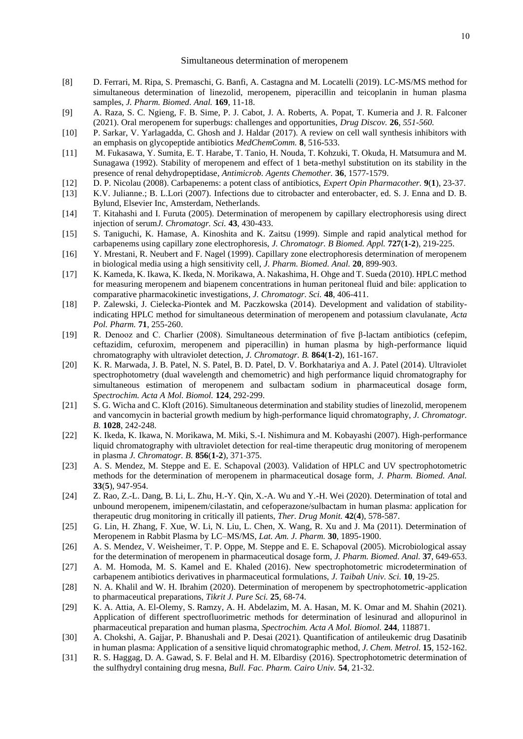- [8] D. Ferrari, M. Ripa, S. Premaschi, G. Banfi, A. Castagna and M. Locatelli (2019). LC-MS/MS method for simultaneous determination of linezolid, meropenem, piperacillin and teicoplanin in human plasma samples, *J. Pharm. Biomed. Anal.* **169**, 11-18.
- [9] A. Raza, S. C. Ngieng, F. B. Sime, P. J. Cabot, J. A. Roberts, A. Popat, T. Kumeria and J. R. Falconer (2021). Oral meropenem for superbugs: challenges and opportunities, *Drug Discov.* **26***, 551-560.*
- [10] P. Sarkar, V. Yarlagadda, C. Ghosh and J. Haldar (2017). A review on cell wall synthesis inhibitors with an emphasis on glycopeptide antibiotics *MedChemComm.* **8**, 516-533.
- [11] M. Fukasawa, Y. Sumita, E. T. Harabe, T. Tanio, H. Nouda, T. Kohzuki, T. Okuda, H. Matsumura and M. Sunagawa (1992). Stability of meropenem and effect of 1 beta-methyl substitution on its stability in the presence of renal dehydropeptidase*, Antimicrob. Agents Chemother.* **36**, 1577-1579.
- [12] D. P. Nicolau (2008). Carbapenems: a potent class of antibiotics, *Expert Opin Pharmacother.* **9**(**1**), 23-37.
- [13] K.V. Julianne.; B. L.Lori (2007). Infections due to citrobacter and enterobacter*,* ed. S. J. Enna and D. B. Bylund, Elsevier Inc, Amsterdam, Netherlands.
- [14] T. Kitahashi and I. Furuta (2005). Determination of meropenem by capillary electrophoresis using direct injection of serum*J. Chromatogr. Sci.* **43**, 430-433.
- [15] S. Taniguchi, K. Hamase, A. Kinoshita and K. Zaitsu (1999). Simple and rapid analytical method for carbapenems using capillary zone electrophoresis, *J. Chromatogr. B Biomed. Appl.* **727**(**1-2**), 219-225.
- [16] Y. Mrestani, R. Neubert and F. Nagel (1999). Capillary zone electrophoresis determination of meropenem in biological media using a high sensitivity cell, *J. Pharm. Biomed. Anal.* **20**, 899-903.
- [17] K. Kameda, K. Ikawa, K. Ikeda, N. Morikawa, A. Nakashima, H. Ohge and T. Sueda (2010). HPLC method for measuring meropenem and biapenem concentrations in human peritoneal fluid and bile: application to comparative pharmacokinetic investigations*, J. Chromatogr. Sci.* **48**, 406-411.
- [18] P. Zalewski, J. Cielecka-Piontek and M. Paczkowska (2014). Development and validation of stabilityindicating HPLC method for simultaneous determination of meropenem and potassium clavulanate, *Acta Pol. Pharm.* **71**, 255-260.
- [19] R. Denooz and C. Charlier (2008). Simultaneous determination of five β-lactam antibiotics (cefepim, ceftazidim, cefuroxim, meropenem and piperacillin) in human plasma by high-performance liquid chromatography with ultraviolet detection, *J. Chromatogr. B.* **864**(**1-2**), 161-167.
- [20] K. R. Marwada, J. B. Patel, N. S. Patel, B. D. Patel, D. V. Borkhatariya and A. J. Patel (2014). Ultraviolet spectrophotometry (dual wavelength and chemometric) and high performance liquid chromatography for simultaneous estimation of meropenem and sulbactam sodium in pharmaceutical dosage form, *Spectrochim. Acta A Mol. Biomol.* **124**, 292-299.
- [21] S. G. Wicha and C. Kloft (2016). Simultaneous determination and stability studies of linezolid, meropenem and vancomycin in bacterial growth medium by high-performance liquid chromatography, *J. Chromatogr. B.* **1028**, 242-248.
- [22] K. Ikeda, K. Ikawa, N. Morikawa, M. Miki, S.-I. Nishimura and M. Kobayashi (2007). High-performance liquid chromatography with ultraviolet detection for real-time therapeutic drug monitoring of meropenem in plasma *J. Chromatogr. B.* **856**(**1-2**), 371-375.
- [23] A. S. Mendez, M. Steppe and E. E. Schapoval (2003). Validation of HPLC and UV spectrophotometric methods for the determination of meropenem in pharmaceutical dosage form, *J. Pharm. Biomed. Anal.* **33**(**5**), 947-954.
- [24] Z. Rao, Z.-L. Dang, B. Li, L. Zhu, H.-Y. Qin, X.-A. Wu and Y.-H. Wei (2020). Determination of total and unbound meropenem, imipenem/cilastatin, and cefoperazone/sulbactam in human plasma: application for therapeutic drug monitoring in critically ill patients, *Ther. Drug Monit.* **42**(**4**), 578-587.
- [25] G. Lin, H. Zhang, F. Xue, W. Li, N. Liu, L. Chen, X. Wang, R. Xu and J. Ma (2011). Determination of Meropenem in Rabbit Plasma by LC–MS/MS, *Lat. Am. J. Pharm.* **30**, 1895-1900.
- [26] A. S. Mendez, V. Weisheimer, T. P. Oppe, M. Steppe and E. E. Schapoval (2005). Microbiological assay for the determination of meropenem in pharmaceutical dosage form, *J. Pharm. Biomed. Anal.* **37**, 649-653.
- [27] A. M. Homoda, M. S. Kamel and E. Khaled (2016). New spectrophotometric microdetermination of carbapenem antibiotics derivatives in pharmaceutical formulations, *J. Taibah Univ. Sci.* **10**, 19-25.
- [28] N. A. Khalil and W. H. Ibrahim (2020). Determination of meropenem by spectrophotometric-application to pharmaceutical preparations, *Tikrit J. Pure Sci.* **25**, 68-74.
- [29] K. A. Attia, A. El-Olemy, S. Ramzy, A. H. Abdelazim, M. A. Hasan, M. K. Omar and M. Shahin (2021). Application of different spectrofluorimetric methods for determination of lesinurad and allopurinol in pharmaceutical preparation and human plasma, *Spectrochim. Acta A Mol. Biomol.* **244**, 118871.
- [30] A. Chokshi, A. Gajjar, P. Bhanushali and P. Desai (2021). Quantification of antileukemic drug Dasatinib in human plasma: Application of a sensitive liquid chromatographic method, *J. Chem. Metrol.* **15**, 152-162.
- [31] R. S. Haggag, D. A. Gawad, S. F. Belal and H. M. Elbardisy (2016). Spectrophotometric determination of the sulfhydryl containing drug mesna, *Bull. Fac. Pharm. Cairo Univ.* **54**, 21-32.